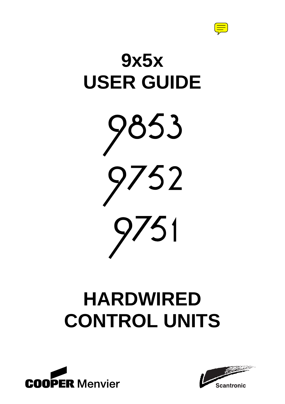

# **9x5x USER GUIDE**



## **HARDWIRED CONTROL UNITS**



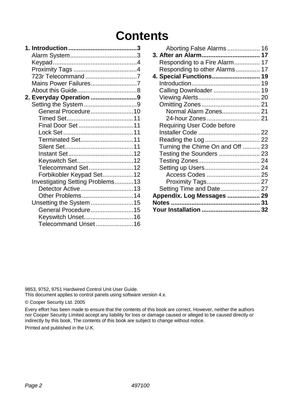## **Contents**

| 723r Telecommand 7               |
|----------------------------------|
| Mains Power Failures7            |
|                                  |
| 2. Everyday Operation 9          |
|                                  |
| General Procedure10              |
|                                  |
| Final Door Set 11                |
|                                  |
| Terminated Set11                 |
|                                  |
|                                  |
| Keyswitch Set12                  |
| Telecommand Set12                |
| Forbikobler Keypad Set12         |
| Investigating Setting Problems13 |
| Detector Active13                |
| Other Problems14                 |
| Unsetting the System 15          |
| General Procedure15              |
| Keyswitch Unset16                |
| Telecommand Unset16              |
|                                  |

| Aborting False Alarms  16        |  |
|----------------------------------|--|
| 3. After an Alarm 17             |  |
| Responding to a Fire Alarm 17    |  |
| Responding to other Alarms 17    |  |
| 4. Special Functions 19          |  |
|                                  |  |
| Calling Downloader  19           |  |
|                                  |  |
|                                  |  |
| Normal Alarm Zones 21            |  |
|                                  |  |
| Requiring User Code before       |  |
|                                  |  |
|                                  |  |
| Turning the Chime On and Off  23 |  |
| Testing the Sounders  23         |  |
|                                  |  |
| Setting up Users 24              |  |
| Access Codes  25                 |  |
|                                  |  |
| Setting Time and Date 27         |  |
| Appendix. Log Messages  29       |  |
|                                  |  |
| Your Installation  32            |  |
|                                  |  |

9853, 9752, 9751 Hardwired Control Unit User Guide.

This document applies to control panels using software version 4.x.

© Cooper Security Ltd. 2005

Every effort has been made to ensure that the contents of this book are correct. However, neither the authors nor Cooper Security Limited accept any liability for loss or damage caused or alleged to be caused directly or indirectly by this book. The contents of this book are subject to change without notice.

Printed and published in the U.K.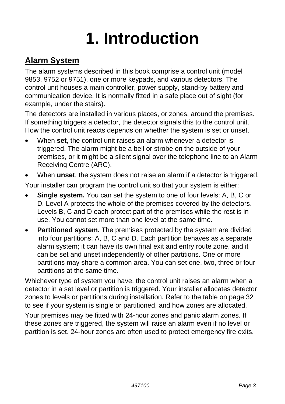## **1. Introduction**

## **Alarm System**

The alarm systems described in this book comprise a control unit (model 9853, 9752 or 9751), one or more keypads, and various detectors. The control unit houses a main controller, power supply, stand-by battery and communication device. It is normally fitted in a safe place out of sight (for example, under the stairs).

The detectors are installed in various places, or zones, around the premises. If something triggers a detector, the detector signals this to the control unit. How the control unit reacts depends on whether the system is set or unset.

- When **set**, the control unit raises an alarm whenever a detector is triggered. The alarm might be a bell or strobe on the outside of your premises, or it might be a silent signal over the telephone line to an Alarm Receiving Centre (ARC).
- When **unset**, the system does not raise an alarm if a detector is triggered.

Your installer can program the control unit so that your system is either:

- **Single system.** You can set the system to one of four levels: A, B, C or D. Level A protects the whole of the premises covered by the detectors. Levels B, C and D each protect part of the premises while the rest is in use. You cannot set more than one level at the same time.
- **Partitioned system.** The premises protected by the system are divided into four partitions: A, B, C and D. Each partition behaves as a separate alarm system; it can have its own final exit and entry route zone, and it can be set and unset independently of other partitions. One or more partitions may share a common area. You can set one, two, three or four partitions at the same time.

Whichever type of system you have, the control unit raises an alarm when a detector in a set level or partition is triggered. Your installer allocates detector zones to levels or partitions during installation. Refer to the table on page 32 to see if your system is single or partitioned, and how zones are allocated.

Your premises may be fitted with 24-hour zones and panic alarm zones. If these zones are triggered, the system will raise an alarm even if no level or partition is set. 24-hour zones are often used to protect emergency fire exits.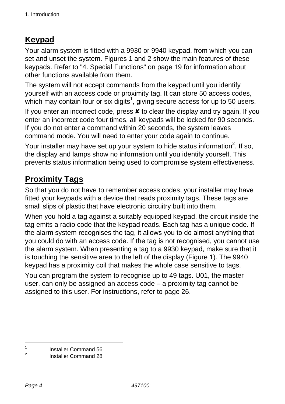## **Keypad**

Your alarm system is fitted with a 9930 or 9940 keypad, from which you can set and unset the system. Figures 1 and 2 show the main features of these keypads. Refer to "4. Special Functions" on page 19 for information about other functions available from them.

The system will not accept commands from the keypad until you identify yourself with an access code or proximity tag. It can store 50 access codes, which may contain four or six digits<sup>1</sup>, giving secure access for up to 50 users.

If you enter an incorrect code, press  $\boldsymbol{\mathsf{X}}$  to clear the display and try again. If you enter an incorrect code four times, all keypads will be locked for 90 seconds. If you do not enter a command within 20 seconds, the system leaves command mode. You will need to enter your code again to continue.

Your installer may have set up your system to hide status information<sup>2</sup>. If so, the display and lamps show no information until you identify yourself. This prevents status information being used to compromise system effectiveness.

## **Proximity Tags**

So that you do not have to remember access codes, your installer may have fitted your keypads with a device that reads proximity tags. These tags are small slips of plastic that have electronic circuitry built into them.

When you hold a tag against a suitably equipped keypad, the circuit inside the tag emits a radio code that the keypad reads. Each tag has a unique code. If the alarm system recognises the tag, it allows you to do almost anything that you could do with an access code. If the tag is not recognised, you cannot use the alarm system. When presenting a tag to a 9930 keypad, make sure that it is touching the sensitive area to the left of the display (Figure 1). The 9940 keypad has a proximity coil that makes the whole case sensitive to tags.

You can program the system to recognise up to 49 tags. U01, the master user, can only be assigned an access code – a proximity tag cannot be assigned to this user. For instructions, refer to page 26.

 $\frac{1}{1}$ Installer Command 56

 $\overline{2}$ Installer Command 28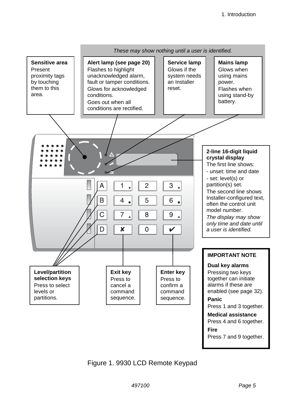

Press 7 and 9 together.

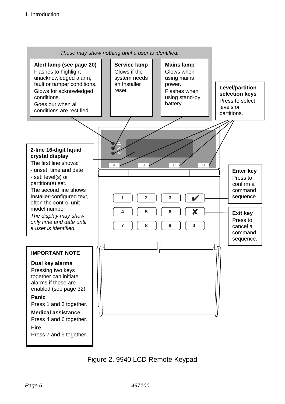

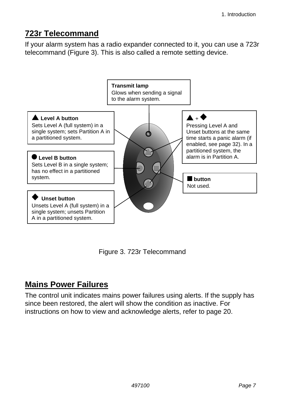## **723r Telecommand**

If your alarm system has a radio expander connected to it, you can use a 723r telecommand (Figure 3). This is also called a remote setting device.



Figure 3. 723r Telecommand

## **Mains Power Failures**

The control unit indicates mains power failures using alerts. If the supply has since been restored, the alert will show the condition as inactive. For instructions on how to view and acknowledge alerts, refer to page 20.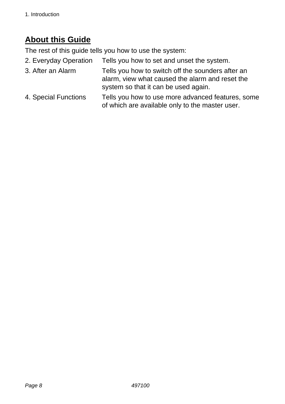## **About this Guide**

The rest of this guide tells you how to use the system:

- 2. Everyday Operation Tells you how to set and unset the system.
- 3. After an Alarm Tells you how to switch off the sounders after an alarm, view what caused the alarm and reset the system so that it can be used again.
- 4. Special Functions Tells you how to use more advanced features, some of which are available only to the master user.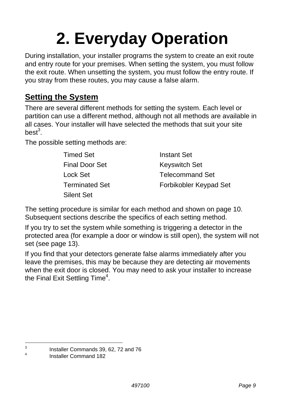## **2. Everyday Operation**

During installation, your installer programs the system to create an exit route and entry route for your premises. When setting the system, you must follow the exit route. When unsetting the system, you must follow the entry route. If you stray from these routes, you may cause a false alarm.

### **Setting the System**

There are several different methods for setting the system. Each level or partition can use a different method, although not all methods are available in all cases. Your installer will have selected the methods that suit your site best $^3$ .

The possible setting methods are:

| Timed Set             | <b>Instant Set</b>     |
|-----------------------|------------------------|
| Final Door Set        | Keyswitch Set          |
| Lock Set              | <b>Telecommand Set</b> |
| <b>Terminated Set</b> | Forbikobler Keypad Set |
| Silent Set            |                        |

The setting procedure is similar for each method and shown on page 10. Subsequent sections describe the specifics of each setting method.

If you try to set the system while something is triggering a detector in the protected area (for example a door or window is still open), the system will not set (see page 13).

If you find that your detectors generate false alarms immediately after you leave the premises, this may be because they are detecting air movements when the exit door is closed. You may need to ask your installer to increase the Final Exit Settling Time $^4$ .

<sup>-&</sup>lt;br>3

Installer Commands 39, 62, 72 and 76

<sup>4</sup> Installer Command 182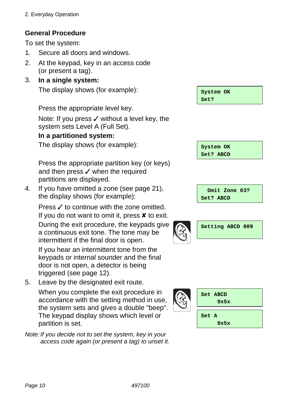#### **General Procedure**

To set the system:

- 1. Secure all doors and windows.
- 2. At the keypad, key in an access code (or present a tag).
- 3. **In a single system:**

The display shows (for example):

Press the appropriate level key.

Note: If you press  $\checkmark$  without a level key, the system sets Level A (Full Set).

#### **In a partitioned system:**

The display shows (for example): **System OK** 

 Press the appropriate partition key (or keys) and then press  $\checkmark$  when the required partitions are displayed.

4. If you have omitted a zone (see page 21), the display shows (for example):

Press  $\angle$  to continue with the zone omitted. If you do not want to omit it, press  $\boldsymbol{\mathsf{x}}$  to exit. During the exit procedure, the keypads give a continuous exit tone. The tone may be intermittent if the final door is open.

 If you hear an intermittent tone from the keypads or internal sounder and the final door is not open, a detector is being triggered (see page 12).

5. Leave by the designated exit route.

 When you complete the exit procedure in accordance with the setting method in use, the system sets and gives a double "beep". The keypad display shows which level or partition is set.

*Note: If you decide not to set the system, key in your access code again (or present a tag) to unset it.* 

| System OK |  |  |
|-----------|--|--|
| Set?      |  |  |







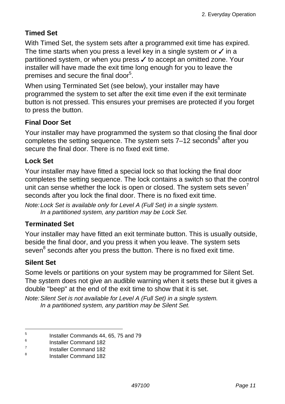#### **Timed Set**

With Timed Set, the system sets after a programmed exit time has expired. The time starts when you press a level key in a single system or  $\checkmark$  in a partitioned system, or when you press  $\checkmark$  to accept an omitted zone. Your installer will have made the exit time long enough for you to leave the premises and secure the final door<sup>5</sup>.

When using Terminated Set (see below), your installer may have programmed the system to set after the exit time even if the exit terminate button is not pressed. This ensures your premises are protected if you forget to press the button.

#### **Final Door Set**

Your installer may have programmed the system so that closing the final door completes the setting sequence. The system sets  $7-12$  seconds<sup>6</sup> after you secure the final door. There is no fixed exit time.

#### **Lock Set**

Your installer may have fitted a special lock so that locking the final door completes the setting sequence. The lock contains a switch so that the control unit can sense whether the lock is open or closed. The system sets seven<sup>7</sup> seconds after you lock the final door. There is no fixed exit time.

*Note: Lock Set is available only for Level A (Full Set) in a single system. In a partitioned system, any partition may be Lock Set.* 

#### **Terminated Set**

Your installer may have fitted an exit terminate button. This is usually outside, beside the final door, and you press it when you leave. The system sets seven<sup>8</sup> seconds after you press the button. There is no fixed exit time.

#### **Silent Set**

Some levels or partitions on your system may be programmed for Silent Set. The system does not give an audible warning when it sets these but it gives a double "beep" at the end of the exit time to show that it is set.

*Note: Silent Set is not available for Level A (Full Set) in a single system. In a partitioned system, any partition may be Silent Set.* 

<sup>-&</sup>lt;br>5 Installer Commands 44, 65, 75 and 79

<sup>6</sup> Installer Command 182

<sup>7</sup> Installer Command 182

<sup>8</sup> Installer Command 182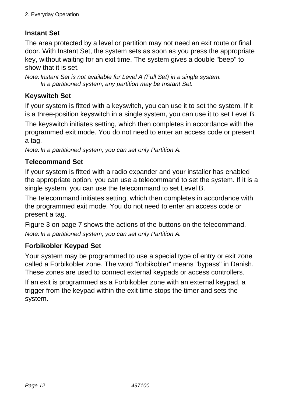#### **Instant Set**

The area protected by a level or partition may not need an exit route or final door. With Instant Set, the system sets as soon as you press the appropriate key, without waiting for an exit time. The system gives a double "beep" to show that it is set.

*Note: Instant Set is not available for Level A (Full Set) in a single system. In a partitioned system, any partition may be Instant Set.* 

#### **Keyswitch Set**

If your system is fitted with a keyswitch, you can use it to set the system. If it is a three-position keyswitch in a single system, you can use it to set Level B.

The keyswitch initiates setting, which then completes in accordance with the programmed exit mode. You do not need to enter an access code or present a tag.

*Note: In a partitioned system, you can set only Partition A.* 

#### **Telecommand Set**

If your system is fitted with a radio expander and your installer has enabled the appropriate option, you can use a telecommand to set the system. If it is a single system, you can use the telecommand to set Level B.

The telecommand initiates setting, which then completes in accordance with the programmed exit mode. You do not need to enter an access code or present a tag.

Figure 3 on page 7 shows the actions of the buttons on the telecommand. *Note: In a partitioned system, you can set only Partition A.* 

#### **Forbikobler Keypad Set**

Your system may be programmed to use a special type of entry or exit zone called a Forbikobler zone. The word "forbikobler" means "bypass" in Danish. These zones are used to connect external keypads or access controllers.

If an exit is programmed as a Forbikobler zone with an external keypad, a trigger from the keypad within the exit time stops the timer and sets the system.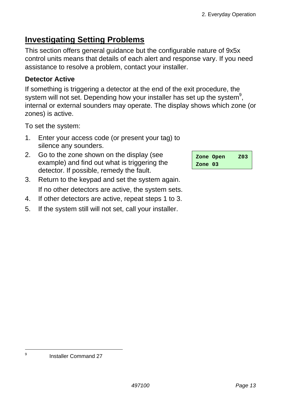## **Investigating Setting Problems**

This section offers general guidance but the configurable nature of 9x5x control units means that details of each alert and response vary. If you need assistance to resolve a problem, contact your installer.

### **Detector Active**

If something is triggering a detector at the end of the exit procedure, the system will not set. Depending how your installer has set up the system $9$ , internal or external sounders may operate. The display shows which zone (or zones) is active.

To set the system:

- 1. Enter your access code (or present your tag) to silence any sounders.
- 2. Go to the zone shown on the display (see example) and find out what is triggering the detector. If possible, remedy the fault.
- 3. Return to the keypad and set the system again. If no other detectors are active, the system sets.
- 4. If other detectors are active, repeat steps 1 to 3.
- 5. If the system still will not set, call your installer.

| Zone Open | Z03 |
|-----------|-----|
| $Zone$ 03 |     |

-<br>9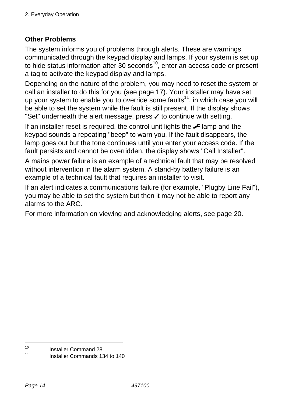#### **Other Problems**

The system informs you of problems through alerts. These are warnings communicated through the keypad display and lamps. If your system is set up to hide status information after 30 seconds $10$ , enter an access code or present a tag to activate the keypad display and lamps.

Depending on the nature of the problem, you may need to reset the system or call an installer to do this for you (see page 17). Your installer may have set up your system to enable you to override some faults<sup>11</sup>, in which case you will be able to set the system while the fault is still present. If the display shows "Set" underneath the alert message, press  $\checkmark$  to continue with setting.

If an installer reset is required, the control unit lights the  $\blacktriangleright$  lamp and the keypad sounds a repeating "beep" to warn you. If the fault disappears, the lamp goes out but the tone continues until you enter your access code. If the fault persists and cannot be overridden, the display shows "Call Installer".

A mains power failure is an example of a technical fault that may be resolved without intervention in the alarm system. A stand-by battery failure is an example of a technical fault that requires an installer to visit.

If an alert indicates a communications failure (for example, "Plugby Line Fail"), you may be able to set the system but then it may not be able to report any alarms to the ARC.

For more information on viewing and acknowledging alerts, see page 20.

 $10$  $10$  Installer Command 28

Installer Commands 134 to 140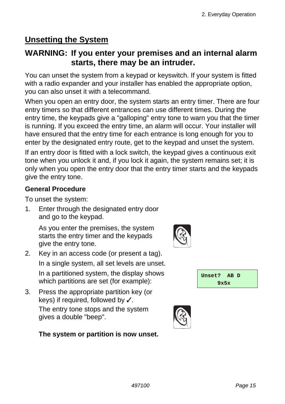## **Unsetting the System**

### **WARNING: If you enter your premises and an internal alarm starts, there may be an intruder.**

You can unset the system from a keypad or keyswitch. If your system is fitted with a radio expander and your installer has enabled the appropriate option, you can also unset it with a telecommand.

When you open an entry door, the system starts an entry timer. There are four entry timers so that different entrances can use different times. During the entry time, the keypads give a "galloping" entry tone to warn you that the timer is running. If you exceed the entry time, an alarm will occur. Your installer will have ensured that the entry time for each entrance is long enough for you to enter by the designated entry route, get to the keypad and unset the system.

If an entry door is fitted with a lock switch, the keypad gives a continuous exit tone when you unlock it and, if you lock it again, the system remains set; it is only when you open the entry door that the entry timer starts and the keypads give the entry tone.

#### **General Procedure**

To unset the system:

1. Enter through the designated entry door and go to the keypad.

 As you enter the premises, the system starts the entry timer and the keypads give the entry tone.

- 2. Key in an access code (or present a tag). In a single system, all set levels are unset. In a partitioned system, the display shows which partitions are set (for example):
- 3. Press the appropriate partition key (or keys) if required, followed by  $\checkmark$ . The entry tone stops and the system gives a double "beep".







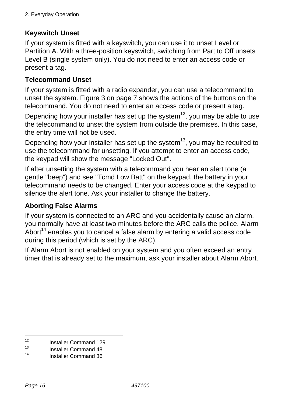#### **Keyswitch Unset**

If your system is fitted with a keyswitch, you can use it to unset Level or Partition A. With a three-position keyswitch, switching from Part to Off unsets Level B (single system only). You do not need to enter an access code or present a tag.

#### **Telecommand Unset**

If your system is fitted with a radio expander, you can use a telecommand to unset the system. Figure 3 on page 7 shows the actions of the buttons on the telecommand. You do not need to enter an access code or present a tag.

Depending how your installer has set up the system<sup>12</sup>, you may be able to use the telecommand to unset the system from outside the premises. In this case, the entry time will not be used.

Depending how your installer has set up the system $^{13}$ , you may be required to use the telecommand for unsetting. If you attempt to enter an access code, the keypad will show the message "Locked Out".

If after unsetting the system with a telecommand you hear an alert tone (a gentle "beep") and see "Tcmd Low Batt" on the keypad, the battery in your telecommand needs to be changed. Enter your access code at the keypad to silence the alert tone. Ask your installer to change the battery.

#### **Aborting False Alarms**

If your system is connected to an ARC and you accidentally cause an alarm, you normally have at least two minutes before the ARC calls the police. Alarm Abort $14$  enables you to cancel a false alarm by entering a valid access code during this period (which is set by the ARC).

If Alarm Abort is not enabled on your system and you often exceed an entry timer that is already set to the maximum, ask your installer about Alarm Abort.

 $12$  $12$  Installer Command 129

 $13$  Installer Command 48

Installer Command 36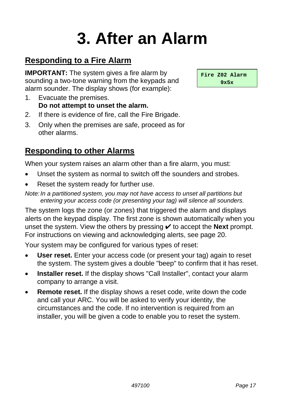## **3. After an Alarm**

## **Responding to a Fire Alarm**

**IMPORTANT:** The system gives a fire alarm by sounding a two-tone warning from the keypads and alarm sounder. The display shows (for example):

- 1. Evacuate the premises. **Do not attempt to unset the alarm.**
- 2. If there is evidence of fire, call the Fire Brigade.
- 3. Only when the premises are safe, proceed as for other alarms.

## **Responding to other Alarms**

When your system raises an alarm other than a fire alarm, you must:

- Unset the system as normal to switch off the sounders and strobes.
- Reset the system ready for further use.

*Note: In a partitioned system, you may not have access to unset all partitions but entering your access code (or presenting your tag) will silence all sounders.* 

The system logs the zone (or zones) that triggered the alarm and displays alerts on the keypad display. The first zone is shown automatically when you unset the system. View the others by pressing  $\vee$  to accept the **Next** prompt. For instructions on viewing and acknowledging alerts, see page 20.

Your system may be configured for various types of reset:

- **User reset.** Enter your access code (or present your tag) again to reset the system. The system gives a double "beep" to confirm that it has reset.
- **Installer reset.** If the display shows "Call Installer", contact your alarm company to arrange a visit.
- **Remote reset.** If the display shows a reset code, write down the code and call your ARC. You will be asked to verify your identity, the circumstances and the code. If no intervention is required from an installer, you will be given a code to enable you to reset the system.

**Fire Z02 Alarm 9x5x**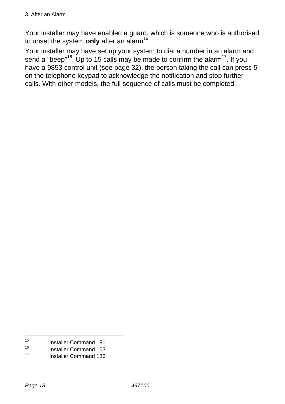Your installer may have enabled a guard, which is someone who is authorised to unset the system **only** after an alarm<sup>15</sup>.

Your installer may have set up your system to dial a number in an alarm and send a "beep"<sup>16</sup>. Up to 15 calls may be made to confirm the alarm<sup>17</sup>. If you have a 9853 control unit (see page 32), the person taking the call can press 5 on the telephone keypad to acknowledge the notification and stop further calls. With other models, the full sequence of calls must be completed.

<sup>15</sup>  $^{15}$  Installer Command 181

 $^{16}$  Installer Command 103

Installer Command 186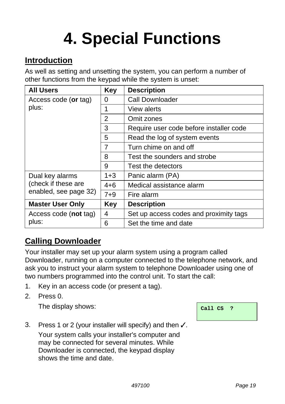## **4. Special Functions**

### **Introduction**

As well as setting and unsetting the system, you can perform a number of other functions from the keypad while the system is unset:

| <b>All Users</b>                                     | <b>Key</b> | <b>Description</b>                      |
|------------------------------------------------------|------------|-----------------------------------------|
| Access code (or tag)                                 | 0          | <b>Call Downloader</b>                  |
| plus:                                                | 1          | View alerts                             |
|                                                      | 2          | Omit zones                              |
|                                                      | 3          | Require user code before installer code |
|                                                      | 5          | Read the log of system events           |
|                                                      | 7          | Turn chime on and off                   |
|                                                      | 8          | Test the sounders and strobe            |
|                                                      | 9          | Test the detectors                      |
| Dual key alarms                                      | 1+3        | Panic alarm (PA)                        |
| check if these are                                   | 4+6        | Medical assistance alarm                |
| enabled, see page 32)                                | $7 + 9$    | Fire alarm                              |
| Key<br><b>Master User Only</b><br><b>Description</b> |            |                                         |
| Access code (not tag)                                | 4          | Set up access codes and proximity tags  |
| plus:                                                | 6          | Set the time and date                   |

## **Calling Downloader**

Your installer may set up your alarm system using a program called Downloader, running on a computer connected to the telephone network, and ask you to instruct your alarm system to telephone Downloader using one of two numbers programmed into the control unit. To start the call:

- 1. Key in an access code (or present a tag).
- 2. Press 0.

The display shows: **Call CS 2 Call CS** ?

- 
- 3. Press 1 or 2 (your installer will specify) and then  $\checkmark$ .

Your system calls your installer's computer and may be connected for several minutes. While Downloader is connected, the keypad display shows the time and date.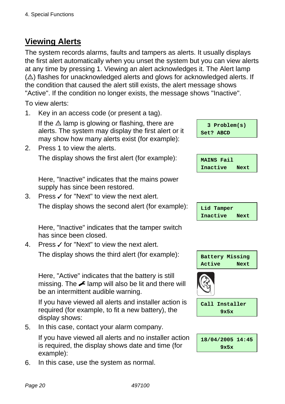## **Viewing Alerts**

The system records alarms, faults and tampers as alerts. It usually displays the first alert automatically when you unset the system but you can view alerts at any time by pressing 1. Viewing an alert acknowledges it. The Alert lamp  $(\triangle)$  flashes for unacknowledged alerts and glows for acknowledged alerts. If the condition that caused the alert still exists, the alert message shows "Active". If the condition no longer exists, the message shows "Inactive".

To view alerts:

1. Key in an access code (or present a tag).

If the  $\triangle$  lamp is glowing or flashing, there are alerts. The system may display the first alert or it may show how many alerts exist (for example):

2. Press 1 to view the alerts. The display shows the first alert (for example):  $\frac{M_{\text{MANS}}}{M_{\text{MANS}}}\$ 

 Here, "Inactive" indicates that the mains power supply has since been restored.

3. Press y for "Next" to view the next alert.

The display shows the second alert (for example):  $\int_{L_{\text{1d}}}$   $\frac{1}{\text{L}_{\text{2d}}}$   $\frac{1}{\text{L}_{\text{2d}}}$ 

 Here, "Inactive" indicates that the tamper switch has since been closed.

4. Press  $\checkmark$  for "Next" to view the next alert.

The display shows the third alert (for example): **Battery Missing** 

 Here, "Active" indicates that the battery is still missing. The  $\triangle$  lamp will also be lit and there will be an intermittent audible warning.

If you have viewed all alerts and installer action is required (for example, to fit a new battery), the display shows:

5. In this case, contact your alarm company.

If you have viewed all alerts and no installer action is required, the display shows date and time (for example):

6. In this case, use the system as normal.

 **3 Problem(s) Set? ABCD** 







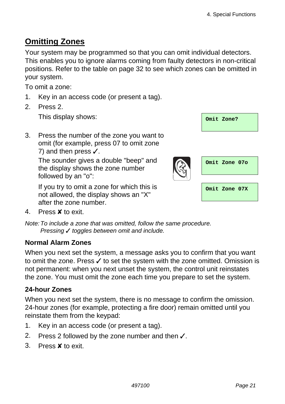## **Omitting Zones**

Your system may be programmed so that you can omit individual detectors. This enables you to ignore alarms coming from faulty detectors in non-critical positions. Refer to the table on page 32 to see which zones can be omitted in your system.

To omit a zone:

- 1. Key in an access code (or present a tag).
- 2. Press 2.

3. Press the number of the zone you want to omit (for example, press 07 to omit zone 7) and then press  $\checkmark$ .

The sounder gives a double "beep" and the display shows the zone number followed by an "o":



If you try to omit a zone for which this is not allowed, the display shows an "X" after the zone number.

4. Press X to exit.

*Note: To include a zone that was omitted, follow the same procedure. Pressing* y *toggles between omit and include.* 

#### **Normal Alarm Zones**

When you next set the system, a message asks you to confirm that you want to omit the zone. Press  $\checkmark$  to set the system with the zone omitted. Omission is not permanent: when you next unset the system, the control unit reinstates the zone. You must omit the zone each time you prepare to set the system.

#### **24-hour Zones**

When you next set the system, there is no message to confirm the omission. 24-hour zones (for example, protecting a fire door) remain omitted until you reinstate them from the keypad:

- 1. Key in an access code (or present a tag).
- 2. Press 2 followed by the zone number and then  $\checkmark$ .
- 3. Press X to exit.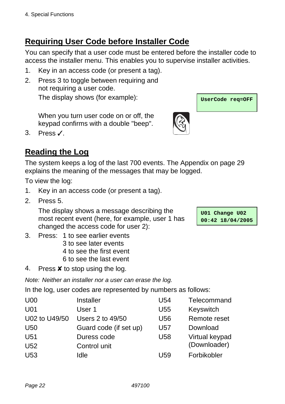## **Requiring User Code before Installer Code**

You can specify that a user code must be entered before the installer code to access the installer menu. This enables you to supervise installer activities.

- 1. Key in an access code (or present a tag).
- 2. Press 3 to toggle between requiring and not requiring a user code. The display shows (for example): **We are all interpretent in the US** user Code req=OFF

When you turn user code on or off, the keypad confirms with a double "beep".



3. Press  $\sqrt{ }$ 

## **Reading the Log**

The system keeps a log of the last 700 events. The Appendix on page 29 explains the meaning of the messages that may be logged.

To view the log:

- 1. Key in an access code (or present a tag).
- 2. Press 5.

 The display shows a message describing the most recent event (here, for example, user 1 has changed the access code for user 2):

**U01 Change U02 00:42 18/04/2005** 

- 3. Press: 1 to see earlier events
	- 3 to see later events
	- 4 to see the first event
	- 6 to see the last event
- 4. Press  $\boldsymbol{\mathsf{X}}$  to stop using the log.

*Note: Neither an installer nor a user can erase the log.* 

In the log, user codes are represented by numbers as follows:

| U <sub>00</sub> | Installer              | U54             | Telecommand    |
|-----------------|------------------------|-----------------|----------------|
| U01             | User 1                 | U <sub>55</sub> | Keyswitch      |
| U02 to U49/50   | Users 2 to 49/50       | U56             | Remote reset   |
| U <sub>50</sub> | Guard code (if set up) | U57             | Download       |
| U <sub>51</sub> | Duress code            | U58             | Virtual keypad |
| U <sub>52</sub> | Control unit           |                 | (Downloader)   |
| U <sub>53</sub> | Idle                   | U59             | Forbikobler    |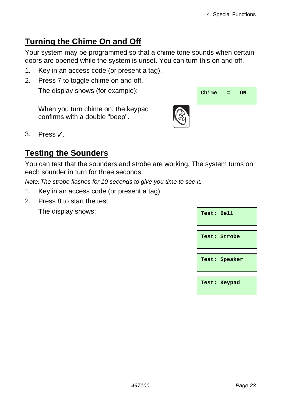## **Turning the Chime On and Off**

Your system may be programmed so that a chime tone sounds when certain doors are opened while the system is unset. You can turn this on and off.

- 1. Key in an access code (or present a tag).
- 2. Press 7 to toggle chime on and off. The display shows (for example):  $\sqrt{\frac{S_{\text{thime}}}{S_{\text{thime}}}} = \sqrt{N}$

When you turn chime on, the keypad confirms with a double "beep".

3. Press y.

### **Testing the Sounders**

You can test that the sounders and strobe are working. The system turns on each sounder in turn for three seconds.

*Note: The strobe flashes for 10 seconds to give you time to see it.* 

- 1. Key in an access code (or present a tag).
- 2. Press 8 to start the test.

The display shows:

| The display shows: | Test: Bell    |
|--------------------|---------------|
|                    | Test: Strobe  |
|                    | Test: Speaker |
|                    |               |
|                    | Test: Keypad  |

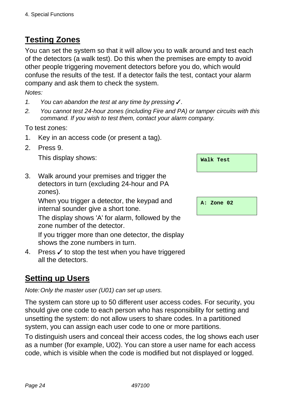## **Testing Zones**

You can set the system so that it will allow you to walk around and test each of the detectors (a walk test). Do this when the premises are empty to avoid other people triggering movement detectors before you do, which would confuse the results of the test. If a detector fails the test, contact your alarm company and ask them to check the system.

*Notes:* 

- *1. You can abandon the test at any time by pressing* y.
- *2. You cannot test 24-hour zones (including Fire and PA) or tamper circuits with this command. If you wish to test them, contact your alarm company.*

To test zones:

- 1. Key in an access code (or present a tag).
- 2. Press 9.

This display shows:

3. Walk around your premises and trigger the detectors in turn (excluding 24-hour and PA zones).

 When you trigger a detector, the keypad and internal sounder give a short tone.

The display shows 'A' for alarm, followed by the zone number of the detector.

If you trigger more than one detector, the display shows the zone numbers in turn.

4. Press  $\checkmark$  to stop the test when you have triggered all the detectors.

## **Setting up Users**

*Note: Only the master user (U01) can set up users.* 

The system can store up to 50 different user access codes. For security, you should give one code to each person who has responsibility for setting and unsetting the system: do not allow users to share codes. In a partitioned system, you can assign each user code to one or more partitions.

To distinguish users and conceal their access codes, the log shows each user as a number (for example, U02). You can store a user name for each access code, which is visible when the code is modified but not displayed or logged.

| Walk Test |  |
|-----------|--|
|           |  |

|  | A: Zone 02 |  |  |
|--|------------|--|--|
|--|------------|--|--|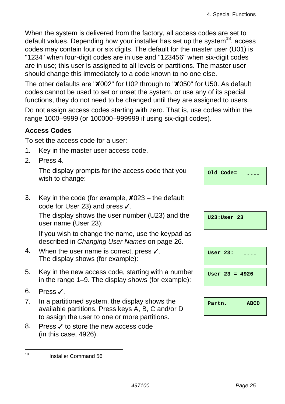When the system is delivered from the factory, all access codes are set to default values. Depending how your installer has set up the system<sup>18</sup>, access codes may contain four or six digits. The default for the master user (U01) is "1234" when four-digit codes are in use and "123456" when six-digit codes are in use; this user is assigned to all levels or partitions. The master user should change this immediately to a code known to no one else.

The other defaults are "<sup>X002"</sup> for U02 through to "<sup>X050"</sup> for U50. As default codes cannot be used to set or unset the system, or use any of its special functions, they do not need to be changed until they are assigned to users.

Do not assign access codes starting with zero. That is, use codes within the range 1000–9999 (or 100000–999999 if using six-digit codes).

#### **Access Codes**

To set the access code for a user:

- 1. Key in the master user access code.
- 2. Pross  $\Delta$

 The display prompts for the access code that you wish to change:

| $Old Code =$ | ---- |
|--------------|------|
|              |      |

#### 3. Key in the code (for example,  $\angle 23$  – the default code for User 23) and press  $\checkmark$ .

 The display shows the user number (U23) and the user name (User 23):

 If you wish to change the name, use the keypad as described in *Changing User Names* on page 26.

- 4. When the user name is correct, press  $\checkmark$ . The display shows (for example):
- 5. Key in the new access code, starting with a number in the range 1–9. The display shows (for example):
- 6. Press  $\checkmark$ .
- 7. In a partitioned system, the display shows the available partitions. Press keys A, B, C and/or D to assign the user to one or more partitions.
- 8. Press ✓ to store the new access code (in this case, 4926).

|  | $U23:User$ 23 |  |
|--|---------------|--|
|--|---------------|--|

| User $23:$ |                  |  |
|------------|------------------|--|
|            | User $23 = 4926$ |  |

| Partn. | ABCD |
|--------|------|
|        |      |

 $40$ 

Installer Command 56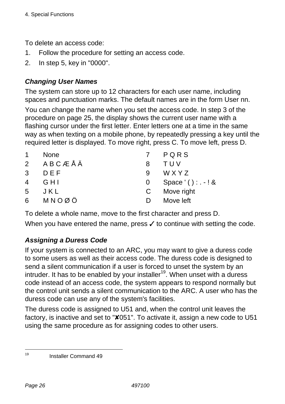To delete an access code:

- 1. Follow the procedure for setting an access code.
- 2. In step 5, key in "0000".

#### *Changing User Names*

The system can store up to 12 characters for each user name, including spaces and punctuation marks. The default names are in the form User nn.

You can change the name when you set the access code. In step 3 of the procedure on page 25, the display shows the current user name with a flashing cursor under the first letter. Enter letters one at a time in the same way as when texting on a mobile phone, by repeatedly pressing a key until the required letter is displayed. To move right, press C. To move left, press D.

| $\mathbf{1}$ | None     |    | 7 PORS                 |
|--------------|----------|----|------------------------|
|              | 2 ABCÆÅÄ | 8  | てUV                    |
| 3            | DEF      | 9  | WXYZ                   |
| 4            | G H I    | 0  | Space $'( ) : . - 1 &$ |
| 5            | JKL      | C. | Move right             |
| 6            | MNOØÖ    |    | Move left              |

To delete a whole name, move to the first character and press D.

When you have entered the name, press  $\checkmark$  to continue with setting the code.

#### *Assigning a Duress Code*

If your system is connected to an ARC, you may want to give a duress code to some users as well as their access code. The duress code is designed to send a silent communication if a user is forced to unset the system by an intruder. It has to be enabled by your installer<sup>19</sup>. When unset with a duress code instead of an access code, the system appears to respond normally but the control unit sends a silent communication to the ARC. A user who has the duress code can use any of the system's facilities.

The duress code is assigned to U51 and, when the control unit leaves the factory, is inactive and set to " $X051$ ". To activate it, assign a new code to U51 using the same procedure as for assigning codes to other users.

 $\overline{10}$ 

<sup>19</sup> Installer Command 49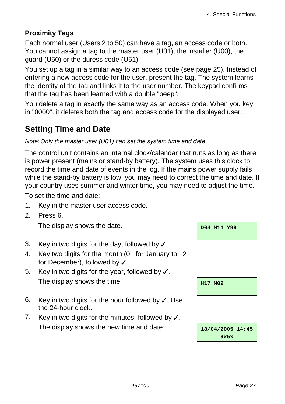#### **Proximity Tags**

Each normal user (Users 2 to 50) can have a tag, an access code or both. You cannot assign a tag to the master user (U01), the installer (U00), the guard (U50) or the duress code (U51).

You set up a tag in a similar way to an access code (see page 25). Instead of entering a new access code for the user, present the tag. The system learns the identity of the tag and links it to the user number. The keypad confirms that the tag has been learned with a double "beep".

You delete a tag in exactly the same way as an access code. When you key in "0000", it deletes both the tag and access code for the displayed user.

## **Setting Time and Date**

#### *Note: Only the master user (U01) can set the system time and date.*

The control unit contains an internal clock/calendar that runs as long as there is power present (mains or stand-by battery). The system uses this clock to record the time and date of events in the log. If the mains power supply fails while the stand-by battery is low, you may need to correct the time and date. If your country uses summer and winter time, you may need to adjust the time.

To set the time and date:

- 1. Key in the master user access code.
- 2. Press 6.

The display shows the date. **Download D04 M11 Y99** 

- 3. Key in two digits for the day, followed by  $\checkmark$ .
- 4. Key two digits for the month (01 for January to 12 for December), followed by  $\checkmark$ .
- 5. Key in two digits for the year, followed by  $\checkmark$ . The display shows the time.  $\frac{1}{117 \text{ m02}}$
- 6. Key in two digits for the hour followed by  $\checkmark$ . Use the 24-hour clock.
- 7. Key in two digits for the minutes, followed by  $\checkmark$ . The display shows the new time and date:

| 18/04/2005 14:45 |  |
|------------------|--|
| 9x5x             |  |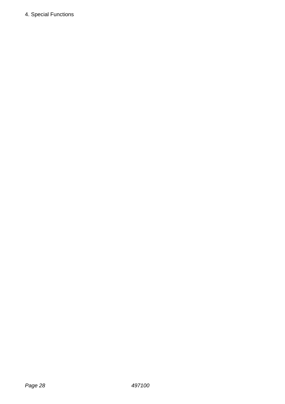4. Special Functions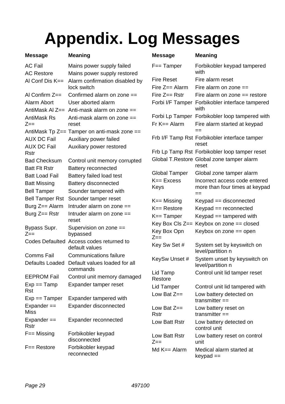## **Appendix. Log Messages**

| <b>Message</b>                      | Meaning                                                               | <b>Message</b>                | Meaning                                                                        |
|-------------------------------------|-----------------------------------------------------------------------|-------------------------------|--------------------------------------------------------------------------------|
| <b>AC Fail</b><br><b>AC Restore</b> | Mains power supply failed<br>Mains power supply restored              | $F ==$ Tamper                 | Forbikobler keypad tampered<br>with                                            |
| Al Conf Dis $K ==$                  | Alarm confirmation disabled by                                        | <b>Fire Reset</b>             | Fire alarm reset                                                               |
|                                     | lock switch                                                           | Fire $Z ==$ Alarm             | Fire alarm on zone $==$                                                        |
| Al Confirm $Z ==$                   | Confirmed alarm on zone $==$                                          | Fire $Z == Rstr$              | Fire alarm on zone $==$ restore                                                |
| Alarm Abort                         | User aborted alarm<br>AntiMask Al $Z ==$ Anti-mask alarm on zone $==$ |                               | Forbi I/F Tamper Forbikobler interface tampered<br>with                        |
| AntiMask Rs<br>$Z ==$               | Anti-mask alarm on zone ==<br>reset                                   | $Fr$ K== Alarm                | Forbi Lp Tamper Forbikobler loop tampered with<br>Fire alarm started at keypad |
|                                     | AntiMask Tp Z== Tamper on anti-mask zone ==                           |                               | $=$                                                                            |
| <b>AUX DC Fail</b>                  | Auxiliary power failed                                                |                               | Frb I/F Tamp Rst Forbikobler interface tamper<br>reset                         |
| <b>AUX DC Fail</b><br>Rstr          | Auxiliary power restored                                              |                               | Frb Lp Tamp Rst Forbikobler loop tamper reset                                  |
| <b>Bad Checksum</b>                 | Control unit memory corrupted                                         |                               | Global T.Restore Global zone tamper alarm<br>reset                             |
| <b>Batt Flt Rstr</b>                | <b>Battery reconnected</b>                                            | Global Tamper                 | Global zone tamper alarm                                                       |
| <b>Batt Load Fail</b>               | Battery failed load test                                              | $K == Excess$                 | Incorrect access code entered                                                  |
| <b>Batt Missing</b>                 | Battery disconnected                                                  | Keys                          | more than four times at keypad                                                 |
| <b>Bell Tamper</b>                  | Sounder tampered with                                                 |                               | $==$                                                                           |
| Bell Tamper Rst                     | Sounder tamper reset                                                  | $K ==$ Missing                | Keypad == disconnected                                                         |
| Burg Z== Alarm                      | Intruder alarm on zone $==$                                           | $K ==$ Restore                | Keypad == reconnected                                                          |
| Burg $Z == Rstr$                    | Intruder alarm on zone $==$<br>reset                                  | $K ==$ Tamper                 | $Keypad == tampered with$                                                      |
| Bypass Supr.                        | Supervision on zone ==                                                | Key Box Cls Z==               | Keybox on zone == closed                                                       |
| $Z ==$                              | bypassed                                                              | Key Box Opn<br>$Z ==$         | Keybox on zone == open                                                         |
|                                     | Codes Defaulted Access codes returned to<br>default values            | Key Sw Set#                   | System set by keyswitch on<br>level/partition n                                |
| Comms Fail                          | <b>Communications failure</b>                                         | KeySw Unset #                 | System unset by keyswitch on                                                   |
|                                     | Defaults Loaded Default values loaded for all<br>commands             |                               | level/partition n                                                              |
| <b>EEPROM Fail</b>                  | Control unit memory damaged                                           | Lid Tamp<br>Restore           | Control unit lid tamper reset                                                  |
| $Exp == Tamp$<br>Rst                | Expander tamper reset                                                 | Lid Tamper                    | Control unit lid tampered with                                                 |
| $Exp ==$ Tamper                     | Expander tampered with                                                | Low Bat $Z ==$                | Low battery detected on<br>transmitter $==$                                    |
| $Expander =$<br>Miss                | Expander disconnected                                                 | Low Bat $Z ==$<br><b>Rstr</b> | Low battery reset on<br>transmitter $==$                                       |
| $Expander ==$<br>Rstr               | Expander reconnected                                                  | Low Batt Rstr                 | Low battery detected on<br>control unit                                        |
| $F ==$ Missing                      | Forbikobler keypad<br>disconnected                                    | Low Batt Rstr<br>$7 ==$       | Low battery reset on control<br>unit                                           |
| $F ==$ Restore                      | Forbikobler keypad<br>reconnected                                     | Md $K ==$ Alarm               | Medical alarm started at<br>keypad ==                                          |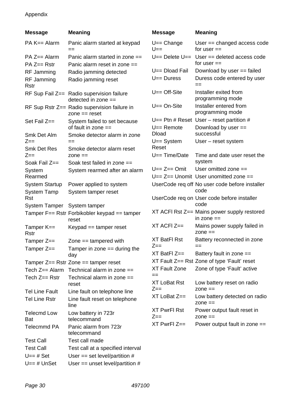#### Appendix

| Message                      | Meaning                                                            | Message                        | Meaning                                                     |  |  |  |  |
|------------------------------|--------------------------------------------------------------------|--------------------------------|-------------------------------------------------------------|--|--|--|--|
| PA K== Alarm                 | Panic alarm started at keypad<br>$==$                              | $U ==$ Change<br>$U ==$        | User $==$ changed access code<br>for user $==$              |  |  |  |  |
| $PA$ $Z==$ Alarm             | Panic alarm started in zone $==$                                   |                                | $U ==$ Delete $U ==$ User == deleted access code            |  |  |  |  |
| $PA$ $Z==$ Rstr              | Panic alarm reset in zone $==$                                     |                                | for user $==$                                               |  |  |  |  |
| RF Jamming                   | Radio jamming detected                                             | U== Dload Fail<br>$U == Dures$ | Download by user == failed                                  |  |  |  |  |
| RF Jamming<br><b>Rstr</b>    | Radio jamming reset                                                |                                | Duress code entered by user<br>$=$                          |  |  |  |  |
|                              | RF Sup Fail Z== Radio supervision failure<br>detected in zone $==$ | $U ==$ Off-Site                | Installer exited from<br>programming mode                   |  |  |  |  |
|                              | RF Sup Rstr Z== Radio supervision failure in<br>$zone == reset$    | $U == On-Site$                 | Installer entered from<br>programming mode                  |  |  |  |  |
| Set Fail Z==                 | System failed to set because                                       |                                | $U == Ptn # Rest User - reset partition #$                  |  |  |  |  |
|                              | of fault in zone $==$                                              | $U ==$ Remote                  | Download by user $==$                                       |  |  |  |  |
| Smk Det Alm                  | Smoke detector alarm in zone                                       | Dload                          | successful                                                  |  |  |  |  |
| $Z ==$<br><b>Smk Det Res</b> | $=$<br>Smoke detector alarm reset                                  | $U ==$ System<br>Reset         | User – reset system                                         |  |  |  |  |
| $Z ==$                       | $zone ==$                                                          | $U == Time/Date$               | Time and date user reset the                                |  |  |  |  |
| Soak Fail $Z ==$             | Soak test failed in zone $==$                                      |                                | system                                                      |  |  |  |  |
| System                       | System rearmed after an alarm                                      | $U == Z == Omit$               | User omitted zone $==$                                      |  |  |  |  |
| Rearmed                      |                                                                    |                                | $U == Z ==$ Unomit User unomitted zone ==                   |  |  |  |  |
| System Startup               | Power applied to system                                            |                                | UserCode reg off No user code before installer              |  |  |  |  |
| System Tamp<br><b>Rst</b>    | System tamper reset                                                |                                | code<br>UserCode reg on User code before installer          |  |  |  |  |
| System Tamper                | System tamper                                                      |                                | code                                                        |  |  |  |  |
|                              | Tamper F== Rstr Forbikobler keypad == tamper<br>reset              |                                | XT ACFI Rst Z== Mains power supply restored<br>in zone $==$ |  |  |  |  |
| Tamper K==<br>Rstr           | Keypad $==$ tamper reset                                           | $XT$ ACFI $Z==$                | Mains power supply failed in<br>$zone ==$                   |  |  |  |  |
| Tamper Z==                   | Zone $==$ tampered with                                            | XT BatFl Rst                   | Battery reconnected in zone                                 |  |  |  |  |
| Tamper Z==                   | Tamper in zone $==$ during the<br>day                              | $Z ==$                         | $=$                                                         |  |  |  |  |
|                              |                                                                    | $XT$ BatFI $Z ==$              | Battery fault in zone $==$                                  |  |  |  |  |
|                              | Tamper $Z == Rstr$ Zone $==$ tamper reset                          |                                | XT Fault Z== Rst Zone of type 'Fault' reset                 |  |  |  |  |
| Tech Z== Alarm               | Technical alarm in zone $==$                                       | XT Fault Zone                  | Zone of type 'Fault' active                                 |  |  |  |  |
| Tech $Z == Rstr$             | Technical alarm in zone $==$<br>reset                              | $=$<br>XT LoBat Rst            | Low battery reset on radio                                  |  |  |  |  |
| <b>Tel Line Fault</b>        | Line fault on telephone line                                       | $Z ==$                         | $zone ==$                                                   |  |  |  |  |
| Tel Line Rstr                | Line fault reset on telephone<br>line                              | XT LoBat Z==                   | Low battery detected on radio<br>$zone ==$                  |  |  |  |  |
| <b>Telecmd Low</b>           | Low battery in 723r                                                | <b>XT PwrFl Rst</b>            | Power output fault reset in                                 |  |  |  |  |
| Bat                          | telecommand                                                        | $Z ==$                         | $zone ==$                                                   |  |  |  |  |
| Telecmmd PA                  | Panic alarm from 723r<br>telecommand                               | $XT$ PwrFl $Z ==$              | Power output fault in zone ==                               |  |  |  |  |
| <b>Test Call</b>             | Test call made                                                     |                                |                                                             |  |  |  |  |
| <b>Test Call</b>             | Test call at a specified interval                                  |                                |                                                             |  |  |  |  |
| $U == # Set$                 | User == set level/partition $#$                                    |                                |                                                             |  |  |  |  |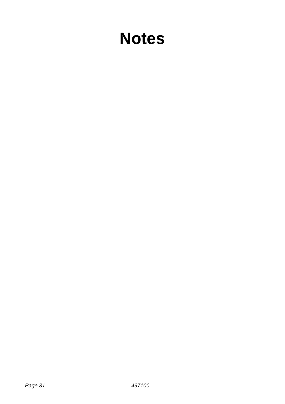## **Notes**